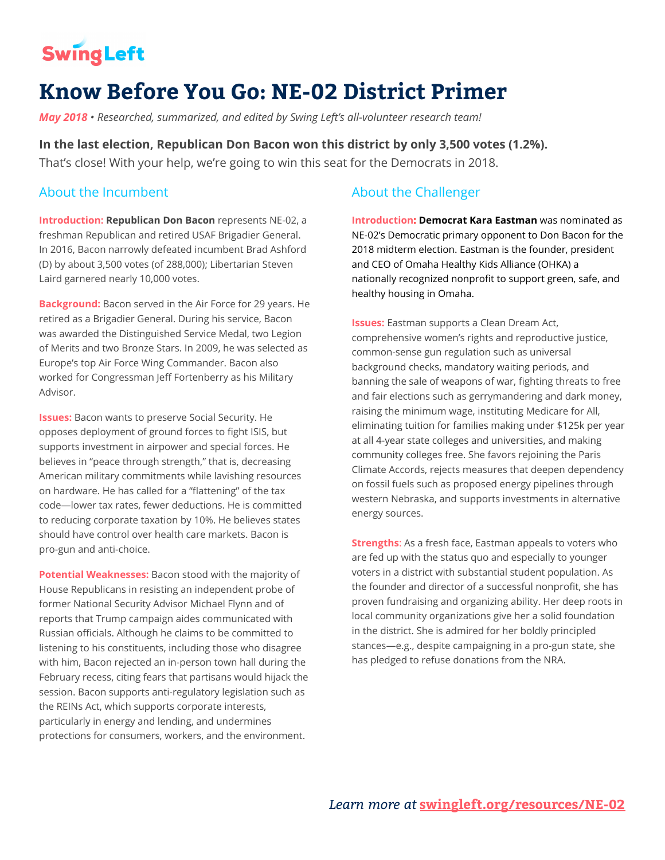# **SwingLeft**

# **Know Before You Go: NE-02 District Primer**

*May 2018 • Researched, summarized, and edited by Swing Left's all-volunteer research team!*

**In the last election, Republican Don Bacon won this district by only 3,500 votes (1.2%).** That's close! With your help, we're going to win this seat for the Democrats in 2018.

# About the Incumbent

**Introduction: Republican Don Bacon** representsNE-02, a freshman Republican and retired USAF Brigadier General. In 2016, Bacon narrowly defeated incumbent Brad Ashford (D) by about 3,500 votes (of 288,000); Libertarian Steven Laird garnered nearly 10,000 votes.

**Background:** Bacon served in the Air Force for 29 years. He retired as a Brigadier General. During his service, Bacon was awarded the Distinguished Service Medal, two Legion of Merits and two Bronze Stars. In 2009, he was selected as Europe's top Air Force Wing Commander. Bacon also worked for Congressman Jeff Fortenberry as his Military Advisor.

**Issues:** Bacon wants to preserve Social Security. He opposes deployment of ground forces to fight ISIS, but supports investment in airpower and special forces. He believes in "peace through strength," that is, decreasing American military commitments while lavishing resources on hardware. He has called for a "flattening" of the tax code—lower tax rates, fewer deductions. He is committed to reducing corporate taxation by 10%. He believes states should have control over health care markets. Bacon is pro-gun and anti-choice.

**Potential Weaknesses:** Bacon stood with the majority of House Republicans in resisting an independent probe of former National Security Advisor Michael Flynn and of reports that Trump campaign aides communicated with Russian officials. Although he claims to be committed to listening to his constituents, including those who disagree with him, Bacon rejected an in-person town hall during the February recess, citing fears that partisans would hijack the session. Bacon supports anti-regulatory legislation such as the REINs Act, which supports corporate interests, particularly in energy and lending, and undermines protections for consumers, workers, and the environment.

# About the Challenger

**Introduction: Democrat Kara Eastman** was nominated as NE-02's Democratic primary opponent to Don Bacon for the 2018 midterm election. Eastman is the founder, president and CEO of Omaha Healthy Kids Alliance (OHKA) a nationally recognized nonprofit to support green, safe, and healthy housing in Omaha.

**Issues:** Eastman supports a Clean Dream Act, comprehensive women's rights and reproductive justice, common-sense gun regulation such as universal background checks, mandatory waiting periods, and banning the sale of weapons of war, fighting threats to free and fair elections such as gerrymandering and dark money, raising the minimum wage, instituting Medicare for All, eliminating tuition for families making under \$125k per year at all 4-year state colleges and universities, and making community colleges free. She favors rejoining the Paris Climate Accords, rejects measures that deepen dependency on fossil fuels such as proposed energy pipelines through western Nebraska, and supports investments in alternative energy sources.

**Strengths**: As a fresh face, Eastman appeals to voters who are fed up with the status quo and especially to younger voters in a district with substantial student population. As the founder and director of a successful nonprofit, she has proven fundraising and organizing ability. Her deep roots in local community organizations give her a solid foundation in the district. She is admired for her boldly principled stances—e.g., despite campaigning in a pro-gun state, she has pledged to refuse donations from the NRA.